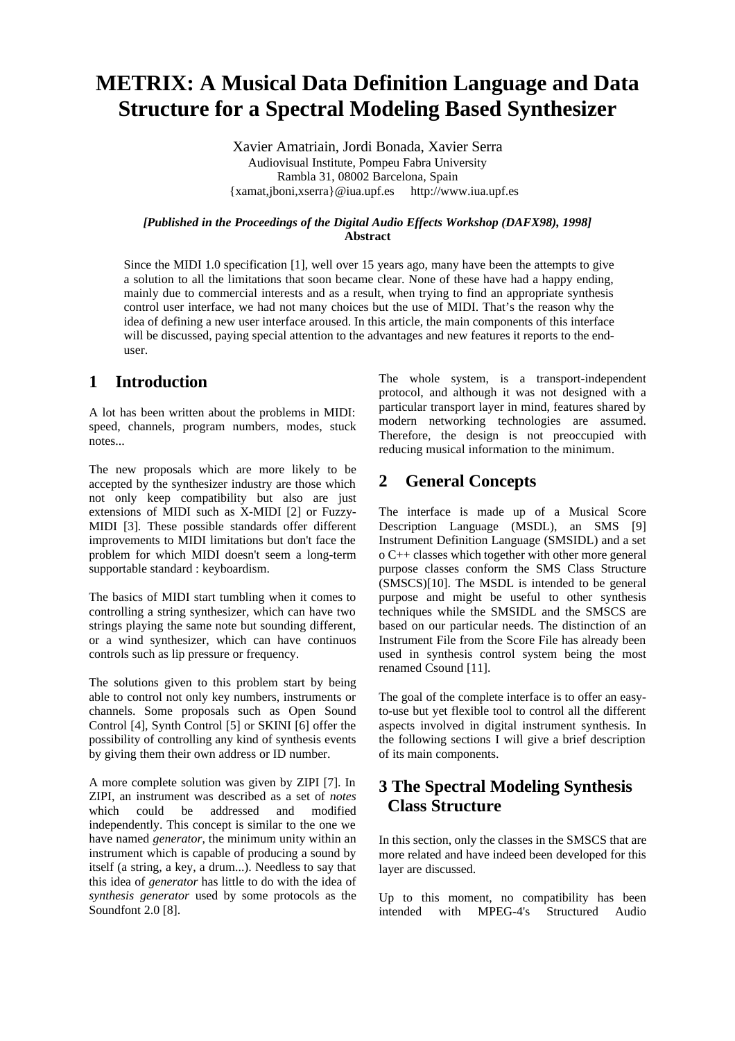# **METRIX: A Musical Data Definition Language and Data Structure for a Spectral Modeling Based Synthesizer**

Xavier Amatriain, Jordi Bonada, Xavier Serra Audiovisual Institute, Pompeu Fabra University Rambla 31, 08002 Barcelona, Spain {xamat,jboni,xserra}@iua.upf.es http://www.iua.upf.es

#### *[Published in the Proceedings of the Digital Audio Effects Workshop (DAFX98), 1998]* **Abstract**

Since the MIDI 1.0 specification [1], well over 15 years ago, many have been the attempts to give a solution to all the limitations that soon became clear. None of these have had a happy ending, mainly due to commercial interests and as a result, when trying to find an appropriate synthesis control user interface, we had not many choices but the use of MIDI. That's the reason why the idea of defining a new user interface aroused. In this article, the main components of this interface will be discussed, paying special attention to the advantages and new features it reports to the enduser.

### **1 Introduction**

A lot has been written about the problems in MIDI: speed, channels, program numbers, modes, stuck notes...

The new proposals which are more likely to be accepted by the synthesizer industry are those which not only keep compatibility but also are just extensions of MIDI such as X-MIDI [2] or Fuzzy-MIDI [3]. These possible standards offer different improvements to MIDI limitations but don't face the problem for which MIDI doesn't seem a long-term supportable standard : keyboardism.

The basics of MIDI start tumbling when it comes to controlling a string synthesizer, which can have two strings playing the same note but sounding different, or a wind synthesizer, which can have continuos controls such as lip pressure or frequency.

The solutions given to this problem start by being able to control not only key numbers, instruments or channels. Some proposals such as Open Sound Control [4], Synth Control [5] or SKINI [6] offer the possibility of controlling any kind of synthesis events by giving them their own address or ID number.

A more complete solution was given by ZIPI [7]. In ZIPI, an instrument was described as a set of *notes* which could be addressed and modified independently. This concept is similar to the one we have named *generator*, the minimum unity within an instrument which is capable of producing a sound by itself (a string, a key, a drum...). Needless to say that this idea of *generator* has little to do with the idea of *synthesis generator* used by some protocols as the Soundfont 2.0 [8].

The whole system, is a transport-independent protocol, and although it was not designed with a particular transport layer in mind, features shared by modern networking technologies are assumed. Therefore, the design is not preoccupied with reducing musical information to the minimum.

### **2 General Concepts**

The interface is made up of a Musical Score Description Language (MSDL), an SMS [9] Instrument Definition Language (SMSIDL) and a set o C++ classes which together with other more general purpose classes conform the SMS Class Structure (SMSCS)[10]. The MSDL is intended to be general purpose and might be useful to other synthesis techniques while the SMSIDL and the SMSCS are based on our particular needs. The distinction of an Instrument File from the Score File has already been used in synthesis control system being the most renamed Csound [11].

The goal of the complete interface is to offer an easyto-use but yet flexible tool to control all the different aspects involved in digital instrument synthesis. In the following sections I will give a brief description of its main components.

### **3 The Spectral Modeling Synthesis Class Structure**

In this section, only the classes in the SMSCS that are more related and have indeed been developed for this layer are discussed.

Up to this moment, no compatibility has been intended with MPEG-4's Structured Audio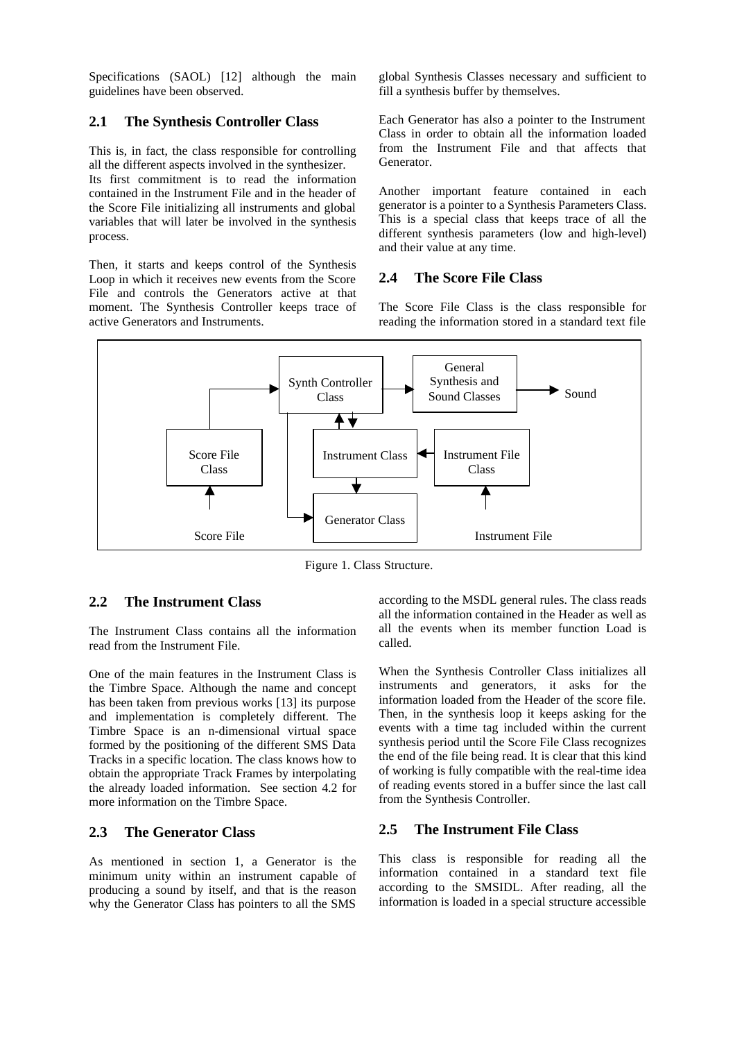Specifications (SAOL) [12] although the main guidelines have been observed.

### **2.1 The Synthesis Controller Class**

This is, in fact, the class responsible for controlling all the different aspects involved in the synthesizer. Its first commitment is to read the information contained in the Instrument File and in the header of the Score File initializing all instruments and global variables that will later be involved in the synthesis process.

Then, it starts and keeps control of the Synthesis Loop in which it receives new events from the Score File and controls the Generators active at that moment. The Synthesis Controller keeps trace of active Generators and Instruments.

global Synthesis Classes necessary and sufficient to fill a synthesis buffer by themselves.

Each Generator has also a pointer to the Instrument Class in order to obtain all the information loaded from the Instrument File and that affects that Generator.

Another important feature contained in each generator is a pointer to a Synthesis Parameters Class. This is a special class that keeps trace of all the different synthesis parameters (low and high-level) and their value at any time.

### **2.4 The Score File Class**

The Score File Class is the class responsible for reading the information stored in a standard text file



Figure 1. Class Structure.

### **2.2 The Instrument Class**

The Instrument Class contains all the information read from the Instrument File.

One of the main features in the Instrument Class is the Timbre Space. Although the name and concept has been taken from previous works [13] its purpose and implementation is completely different. The Timbre Space is an n-dimensional virtual space formed by the positioning of the different SMS Data Tracks in a specific location. The class knows how to obtain the appropriate Track Frames by interpolating the already loaded information. See section 4.2 for more information on the Timbre Space.

#### **2.3 The Generator Class**

As mentioned in section 1, a Generator is the minimum unity within an instrument capable of producing a sound by itself, and that is the reason why the Generator Class has pointers to all the SMS

according to the MSDL general rules. The class reads all the information contained in the Header as well as all the events when its member function Load is called.

When the Synthesis Controller Class initializes all instruments and generators, it asks for the information loaded from the Header of the score file. Then, in the synthesis loop it keeps asking for the events with a time tag included within the current synthesis period until the Score File Class recognizes the end of the file being read. It is clear that this kind of working is fully compatible with the real-time idea of reading events stored in a buffer since the last call from the Synthesis Controller.

#### **2.5 The Instrument File Class**

This class is responsible for reading all the information contained in a standard text file according to the SMSIDL. After reading, all the information is loaded in a special structure accessible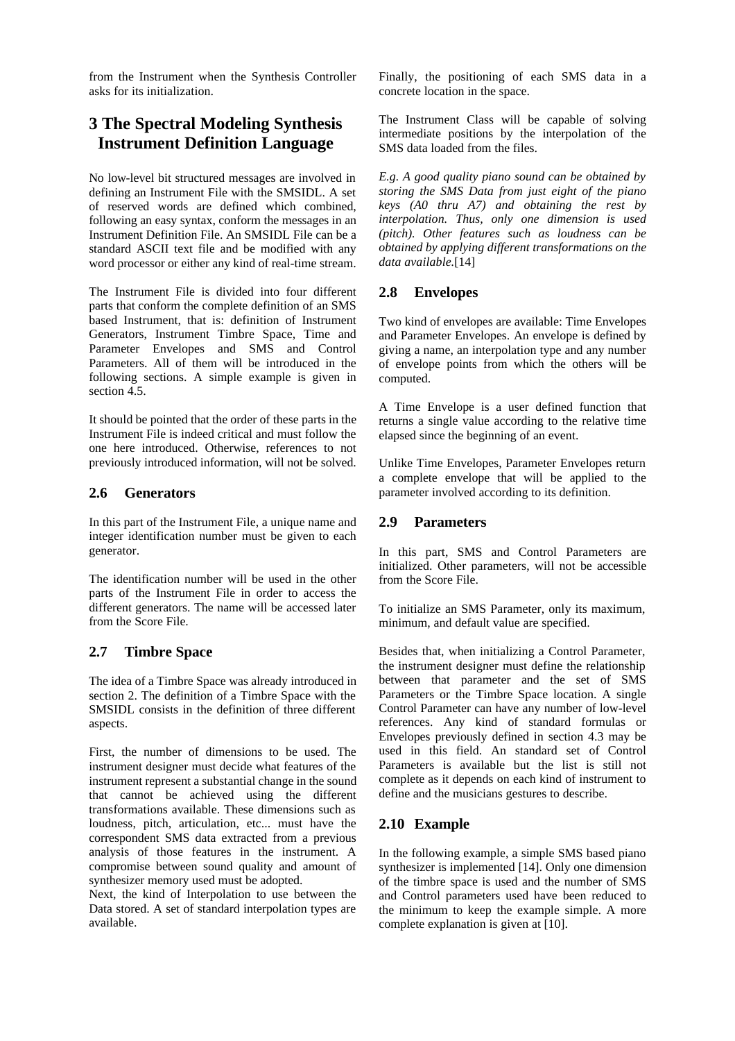from the Instrument when the Synthesis Controller asks for its initialization.

### **3 The Spectral Modeling Synthesis Instrument Definition Language**

No low-level bit structured messages are involved in defining an Instrument File with the SMSIDL. A set of reserved words are defined which combined, following an easy syntax, conform the messages in an Instrument Definition File. An SMSIDL File can be a standard ASCII text file and be modified with any word processor or either any kind of real-time stream.

The Instrument File is divided into four different parts that conform the complete definition of an SMS based Instrument, that is: definition of Instrument Generators, Instrument Timbre Space, Time and Parameter Envelopes and SMS and Control Parameters. All of them will be introduced in the following sections. A simple example is given in section 4.5.

It should be pointed that the order of these parts in the Instrument File is indeed critical and must follow the one here introduced. Otherwise, references to not previously introduced information, will not be solved.

### **2.6 Generators**

In this part of the Instrument File, a unique name and integer identification number must be given to each generator.

The identification number will be used in the other parts of the Instrument File in order to access the different generators. The name will be accessed later from the Score File.

### **2.7 Timbre Space**

The idea of a Timbre Space was already introduced in section 2. The definition of a Timbre Space with the SMSIDL consists in the definition of three different aspects.

First, the number of dimensions to be used. The instrument designer must decide what features of the instrument represent a substantial change in the sound that cannot be achieved using the different transformations available. These dimensions such as loudness, pitch, articulation, etc... must have the correspondent SMS data extracted from a previous analysis of those features in the instrument. A compromise between sound quality and amount of synthesizer memory used must be adopted.

Next, the kind of Interpolation to use between the Data stored. A set of standard interpolation types are available.

Finally, the positioning of each SMS data in a concrete location in the space.

The Instrument Class will be capable of solving intermediate positions by the interpolation of the SMS data loaded from the files.

*E.g. A good quality piano sound can be obtained by storing the SMS Data from just eight of the piano keys (A0 thru A7) and obtaining the rest by interpolation. Thus, only one dimension is used (pitch). Other features such as loudness can be obtained by applying different transformations on the data available.*[14]

### **2.8 Envelopes**

Two kind of envelopes are available: Time Envelopes and Parameter Envelopes. An envelope is defined by giving a name, an interpolation type and any number of envelope points from which the others will be computed.

A Time Envelope is a user defined function that returns a single value according to the relative time elapsed since the beginning of an event.

Unlike Time Envelopes, Parameter Envelopes return a complete envelope that will be applied to the parameter involved according to its definition.

### **2.9 Parameters**

In this part, SMS and Control Parameters are initialized. Other parameters, will not be accessible from the Score File.

To initialize an SMS Parameter, only its maximum, minimum, and default value are specified.

Besides that, when initializing a Control Parameter, the instrument designer must define the relationship between that parameter and the set of SMS Parameters or the Timbre Space location. A single Control Parameter can have any number of low-level references. Any kind of standard formulas or Envelopes previously defined in section 4.3 may be used in this field. An standard set of Control Parameters is available but the list is still not complete as it depends on each kind of instrument to define and the musicians gestures to describe.

### **2.10 Example**

In the following example, a simple SMS based piano synthesizer is implemented [14]. Only one dimension of the timbre space is used and the number of SMS and Control parameters used have been reduced to the minimum to keep the example simple. A more complete explanation is given at [10].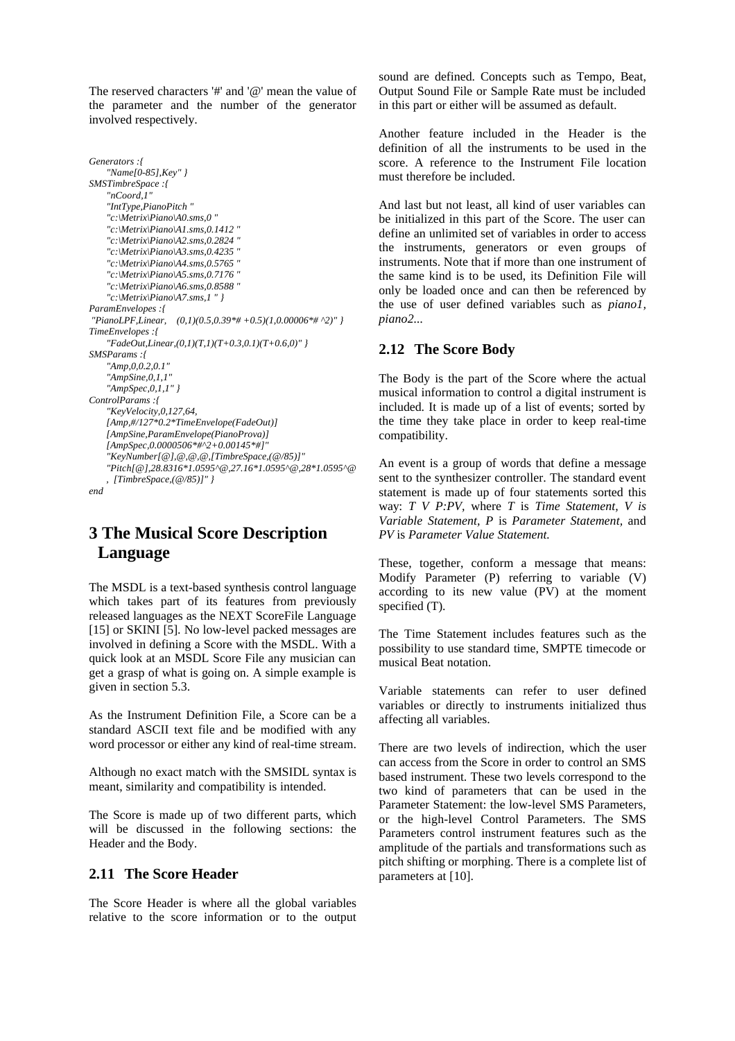The reserved characters '#' and '@' mean the value of the parameter and the number of the generator involved respectively.

```
Generators :{
    "Name[0-85],Key" }
SMSTimbreSpace :{
    "nCoord,1"
    "IntType,PianoPitch "
    "c:\Metrix\Piano\A0.sms,0 "
    "c:\Metrix\Piano\A1.sms,0.1412 "
    "c:\Metrix\Piano\A2.sms,0.2824 "
    "c:\Metrix\Piano\A3.sms,0.4235 "
    "c:\Metrix\Piano\A4.sms,0.5765 "
    "c:\Metrix\Piano\A5.sms,0.7176 "
    "c:\Metrix\Piano\A6.sms,0.8588 "
    "c:\Metrix\Piano\A7.sms,1 " }
ParamEnvelopes :{ 
 "PianoLPF,Linear, (0,1)(0.5,0.39*# +0.5)(1,0.00006*# ^2)" }
TimeEnvelopes :{ 
    "FadeOut,Linear,(0,1)(T,1)(T+0.3,0.1)(T+0.6,0)" }
SMSParams :{
    "Amp,0,0.2,0.1"
    "AmpSine,0,1,1"
    "AmpSpec,0,1,1" }
ControlParams :{
    "KeyVelocity,0,127,64,
    [Amp,#/127*0.2*TimeEnvelope(FadeOut)]
    [AmpSine,ParamEnvelope(PianoProva)] 
    [AmpSpec,0.0000506*#^2+0.00145*#]"
    "KeyNumber[@],@,@,@,[TimbreSpace,(@/85)]"
    "Pitch[@],28.8316*1.0595^@,27.16*1.0595^@,28*1.0595^@ 
    , [TimbreSpace,(@/85)]" }
end
```
## **3 The Musical Score Description Language**

The MSDL is a text-based synthesis control language which takes part of its features from previously released languages as the NEXT ScoreFile Language [15] or SKINI [5]. No low-level packed messages are involved in defining a Score with the MSDL. With a quick look at an MSDL Score File any musician can get a grasp of what is going on. A simple example is given in section 5.3.

As the Instrument Definition File, a Score can be a standard ASCII text file and be modified with any word processor or either any kind of real-time stream.

Although no exact match with the SMSIDL syntax is meant, similarity and compatibility is intended.

The Score is made up of two different parts, which will be discussed in the following sections: the Header and the Body.

#### **2.11 The Score Header**

The Score Header is where all the global variables relative to the score information or to the output sound are defined. Concepts such as Tempo, Beat, Output Sound File or Sample Rate must be included in this part or either will be assumed as default.

Another feature included in the Header is the definition of all the instruments to be used in the score. A reference to the Instrument File location must therefore be included.

And last but not least, all kind of user variables can be initialized in this part of the Score. The user can define an unlimited set of variables in order to access the instruments, generators or even groups of instruments. Note that if more than one instrument of the same kind is to be used, its Definition File will only be loaded once and can then be referenced by the use of user defined variables such as *piano1, piano2...*

### **2.12 The Score Body**

The Body is the part of the Score where the actual musical information to control a digital instrument is included. It is made up of a list of events; sorted by the time they take place in order to keep real-time compatibility.

An event is a group of words that define a message sent to the synthesizer controller. The standard event statement is made up of four statements sorted this way: *T V P:PV,* where *T* is *Time Statement, V is Variable Statement, P* is *Parameter Statement,* and *PV* is *Parameter Value Statement.*

These, together, conform a message that means: Modify Parameter (P) referring to variable (V) according to its new value (PV) at the moment specified (T).

The Time Statement includes features such as the possibility to use standard time, SMPTE timecode or musical Beat notation.

Variable statements can refer to user defined variables or directly to instruments initialized thus affecting all variables.

There are two levels of indirection, which the user can access from the Score in order to control an SMS based instrument. These two levels correspond to the two kind of parameters that can be used in the Parameter Statement: the low-level SMS Parameters, or the high-level Control Parameters. The SMS Parameters control instrument features such as the amplitude of the partials and transformations such as pitch shifting or morphing. There is a complete list of parameters at [10].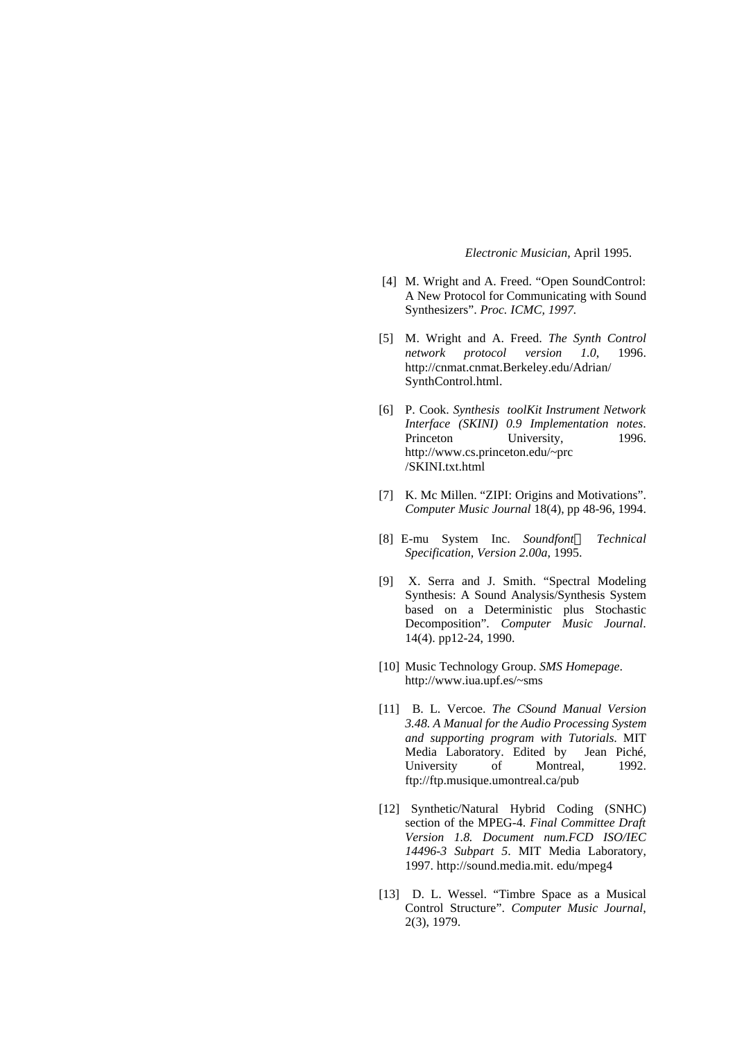#### *Electronic Musician*, April 1995.

- [4] M. Wright and A. Freed. "Open SoundControl: A New Protocol for Communicating with Sound Synthesizers". *Proc. ICMC, 1997.*
- [5] M. Wright and A. Freed. *The Synth Control network protocol version 1.0*, 1996. http://cnmat.cnmat.Berkeley.edu/Adrian/ SynthControl.html.
- [6] P. Cook. *Synthesis toolKit Instrument Network Interface (SKINI) 0.9 Implementation notes*. Princeton University, 1996. http://www.cs.princeton.edu/~prc /SKINI.txt.html
- [7] K. Mc Millen. "ZIPI: Origins and Motivations". *Computer Music Journal* 18(4), pp 48-96, 1994.
- [8] E-mu System Inc. *Soundfontâ Technical Specification, Version 2.00a*, 1995.
- [9] X. Serra and J. Smith. "Spectral Modeling Synthesis: A Sound Analysis/Synthesis System based on a Deterministic plus Stochastic Decomposition". *Computer Music Journal*. 14(4). pp12-24, 1990.
- [10] Music Technology Group. *SMS Homepage*. http://www.iua.upf.es/~sms
- [11] B. L. Vercoe. *The CSound Manual Version 3.48. A Manual for the Audio Processing System and supporting program with Tutorials*. MIT Media Laboratory. Edited by Jean Piché, University of Montreal, 1992. ftp://ftp.musique.umontreal.ca/pub
- [12] Synthetic/Natural Hybrid Coding (SNHC) section of the MPEG-4. *Final Committee Draft Version 1.8. Document num.FCD ISO/IEC 14496-3 Subpart 5*. MIT Media Laboratory, 1997. http://sound.media.mit. edu/mpeg4
- [13] D. L. Wessel. "Timbre Space as a Musical Control Structure". *Computer Music Journal*, 2(3), 1979.